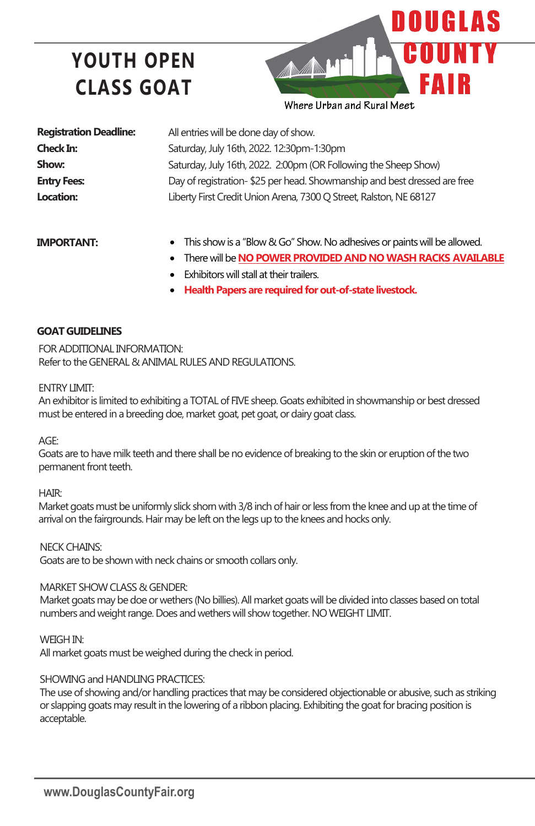# **YOUTH OPEN CLASS GOAT**



| <b>Registration Deadline:</b> |
|-------------------------------|
| <b>Check In:</b>              |
| Show:                         |
| <b>Entry Fees:</b>            |
| Location:                     |

All entries will be done day of show. Saturday, July 16th, 2022. 12:30pm-1:30pm Saturday, July 16th, 2022. 2:00pm (OR Following the Sheep Show) Day of registration- \$25 per head. Showmanship and best dressed are free Liberty First Credit Union Arena, 7300 Q Street, Ralston, NE 68127

### **IMPORTANT:**

- This show is a "Blow & Go" Show. No adhesives or paints will be allowed.
- There will be **NO POWER PROVIDED AND NO WASH RACKS AVAILABLE**
- **Exhibitors will stall at their trailers.**
- **Health Papers are required for out-of-state livestock.**

### **GOAT GUIDELINES**

FOR ADDITIONAL INFORMATION: Refer to the GENERAL & ANIMAL RULES AND REGULATIONS.

### ENTRY LIMIT:

An exhibitor is limited to exhibiting a TOTAL of FIVE sheep. Goats exhibited in showmanship or best dressed must be entered in a breeding doe, market goat, pet goat, or dairy goat class.

#### AGE:

Goats are to have milk teeth and there shall be no evidence of breaking to the skin or eruption of the two permanent front teeth.

### HAIR:

Market goats must be uniformly slick shorn with 3/8 inch of hair or less from the knee and up at the time of arrival on the fairgrounds. Hair may be left on the legs up to the knees and hocks only.

NECK CHAINS:

Goats are to be shown with neck chains or smooth collars only.

### MARKET SHOW CLASS & GENDER:

Market goats may be doe or wethers (No billies). All market goats will be divided into classes based on total numbers and weight range. Does and wethers will show together. NO WEIGHT LIMIT.

WEIGH IN:

All market goats must be weighed during the check in period.

### SHOWING and HANDLING PRACTICES:

The use of showing and/or handling practices that may be considered objectionable or abusive, such as striking or slapping goats may result in the lowering of a ribbon placing. Exhibiting the goat for bracing position is acceptable.